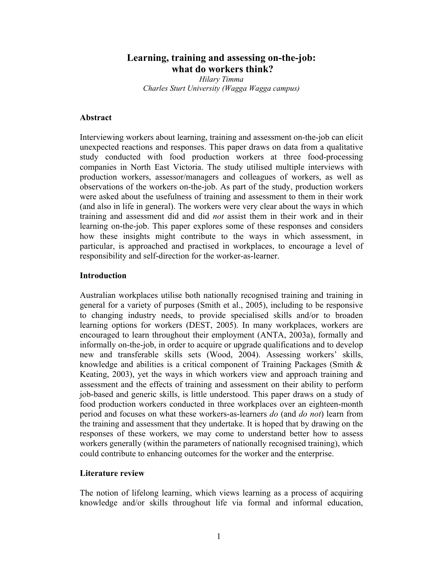# **Learning, training and assessing on-the-job: what do workers think?**

*Hilary Timma Charles Sturt University (Wagga Wagga campus)* 

### **Abstract**

Interviewing workers about learning, training and assessment on-the-job can elicit unexpected reactions and responses. This paper draws on data from a qualitative study conducted with food production workers at three food-processing companies in North East Victoria. The study utilised multiple interviews with production workers, assessor/managers and colleagues of workers, as well as observations of the workers on-the-job. As part of the study, production workers were asked about the usefulness of training and assessment to them in their work (and also in life in general). The workers were very clear about the ways in which training and assessment did and did *not* assist them in their work and in their learning on-the-job. This paper explores some of these responses and considers how these insights might contribute to the ways in which assessment, in particular, is approached and practised in workplaces, to encourage a level of responsibility and self-direction for the worker-as-learner.

#### **Introduction**

Australian workplaces utilise both nationally recognised training and training in general for a variety of purposes (Smith et al., 2005), including to be responsive to changing industry needs, to provide specialised skills and/or to broaden learning options for workers (DEST, 2005). In many workplaces, workers are encouraged to learn throughout their employment (ANTA, 2003a), formally and informally on-the-job, in order to acquire or upgrade qualifications and to develop new and transferable skills sets (Wood, 2004). Assessing workers' skills, knowledge and abilities is a critical component of Training Packages (Smith & Keating, 2003), yet the ways in which workers view and approach training and assessment and the effects of training and assessment on their ability to perform job-based and generic skills, is little understood. This paper draws on a study of food production workers conducted in three workplaces over an eighteen-month period and focuses on what these workers-as-learners *do* (and *do not*) learn from the training and assessment that they undertake. It is hoped that by drawing on the responses of these workers, we may come to understand better how to assess workers generally (within the parameters of nationally recognised training), which could contribute to enhancing outcomes for the worker and the enterprise.

# **Literature review**

The notion of lifelong learning, which views learning as a process of acquiring knowledge and/or skills throughout life via formal and informal education,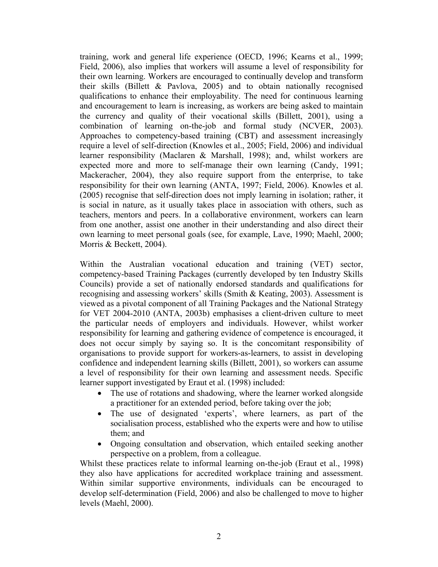training, work and general life experience (OECD, 1996; Kearns et al., 1999; Field, 2006), also implies that workers will assume a level of responsibility for their own learning. Workers are encouraged to continually develop and transform their skills (Billett & Pavlova, 2005) and to obtain nationally recognised qualifications to enhance their employability. The need for continuous learning and encouragement to learn is increasing, as workers are being asked to maintain the currency and quality of their vocational skills (Billett, 2001), using a combination of learning on-the-job and formal study (NCVER, 2003). Approaches to competency-based training (CBT) and assessment increasingly require a level of self-direction (Knowles et al., 2005; Field, 2006) and individual learner responsibility (Maclaren & Marshall, 1998); and, whilst workers are expected more and more to self-manage their own learning (Candy, 1991; Mackeracher, 2004), they also require support from the enterprise, to take responsibility for their own learning (ANTA, 1997; Field, 2006). Knowles et al. (2005) recognise that self-direction does not imply learning in isolation; rather, it is social in nature, as it usually takes place in association with others, such as teachers, mentors and peers. In a collaborative environment, workers can learn from one another, assist one another in their understanding and also direct their own learning to meet personal goals (see, for example, Lave, 1990; Maehl, 2000; Morris & Beckett, 2004).

Within the Australian vocational education and training (VET) sector, competency-based Training Packages (currently developed by ten Industry Skills Councils) provide a set of nationally endorsed standards and qualifications for recognising and assessing workers' skills (Smith & Keating, 2003). Assessment is viewed as a pivotal component of all Training Packages and the National Strategy for VET 2004-2010 (ANTA, 2003b) emphasises a client-driven culture to meet the particular needs of employers and individuals. However, whilst worker responsibility for learning and gathering evidence of competence is encouraged, it does not occur simply by saying so. It is the concomitant responsibility of organisations to provide support for workers-as-learners, to assist in developing confidence and independent learning skills (Billett, 2001), so workers can assume a level of responsibility for their own learning and assessment needs. Specific learner support investigated by Eraut et al. (1998) included:

- The use of rotations and shadowing, where the learner worked alongside a practitioner for an extended period, before taking over the job;
- The use of designated 'experts', where learners, as part of the socialisation process, established who the experts were and how to utilise them; and
- Ongoing consultation and observation, which entailed seeking another perspective on a problem, from a colleague.

Whilst these practices relate to informal learning on-the-job (Eraut et al., 1998) they also have applications for accredited workplace training and assessment. Within similar supportive environments, individuals can be encouraged to develop self-determination (Field, 2006) and also be challenged to move to higher levels (Maehl, 2000).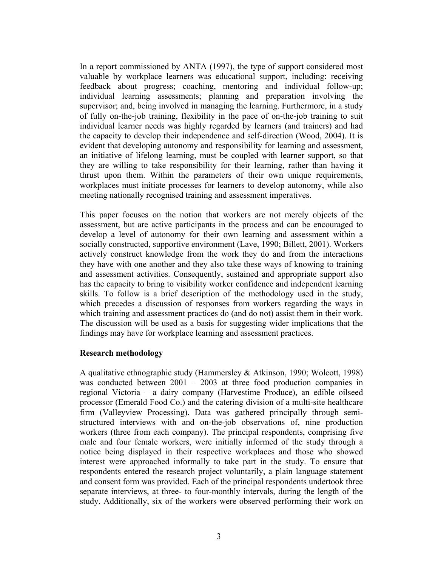In a report commissioned by ANTA (1997), the type of support considered most valuable by workplace learners was educational support, including: receiving feedback about progress; coaching, mentoring and individual follow-up; individual learning assessments; planning and preparation involving the supervisor; and, being involved in managing the learning. Furthermore, in a study of fully on-the-job training, flexibility in the pace of on-the-job training to suit individual learner needs was highly regarded by learners (and trainers) and had the capacity to develop their independence and self-direction (Wood, 2004). It is evident that developing autonomy and responsibility for learning and assessment, an initiative of lifelong learning, must be coupled with learner support, so that they are willing to take responsibility for their learning, rather than having it thrust upon them. Within the parameters of their own unique requirements, workplaces must initiate processes for learners to develop autonomy, while also meeting nationally recognised training and assessment imperatives.

This paper focuses on the notion that workers are not merely objects of the assessment, but are active participants in the process and can be encouraged to develop a level of autonomy for their own learning and assessment within a socially constructed, supportive environment (Lave, 1990; Billett, 2001). Workers actively construct knowledge from the work they do and from the interactions they have with one another and they also take these ways of knowing to training and assessment activities. Consequently, sustained and appropriate support also has the capacity to bring to visibility worker confidence and independent learning skills. To follow is a brief description of the methodology used in the study, which precedes a discussion of responses from workers regarding the ways in which training and assessment practices do (and do not) assist them in their work. The discussion will be used as a basis for suggesting wider implications that the findings may have for workplace learning and assessment practices.

# **Research methodology**

A qualitative ethnographic study (Hammersley & Atkinson, 1990; Wolcott, 1998) was conducted between 2001 – 2003 at three food production companies in regional Victoria – a dairy company (Harvestime Produce), an edible oilseed processor (Emerald Food Co.) and the catering division of a multi-site healthcare firm (Valleyview Processing). Data was gathered principally through semistructured interviews with and on-the-job observations of, nine production workers (three from each company). The principal respondents, comprising five male and four female workers, were initially informed of the study through a notice being displayed in their respective workplaces and those who showed interest were approached informally to take part in the study. To ensure that respondents entered the research project voluntarily, a plain language statement and consent form was provided. Each of the principal respondents undertook three separate interviews, at three- to four-monthly intervals, during the length of the study. Additionally, six of the workers were observed performing their work on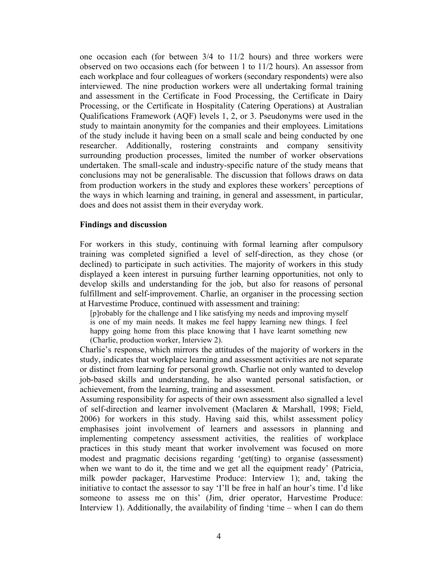one occasion each (for between 3/4 to 11/2 hours) and three workers were observed on two occasions each (for between 1 to 11/2 hours). An assessor from each workplace and four colleagues of workers (secondary respondents) were also interviewed. The nine production workers were all undertaking formal training and assessment in the Certificate in Food Processing, the Certificate in Dairy Processing, or the Certificate in Hospitality (Catering Operations) at Australian Qualifications Framework (AQF) levels 1, 2, or 3. Pseudonyms were used in the study to maintain anonymity for the companies and their employees. Limitations of the study include it having been on a small scale and being conducted by one researcher. Additionally, rostering constraints and company sensitivity surrounding production processes, limited the number of worker observations undertaken. The small-scale and industry-specific nature of the study means that conclusions may not be generalisable. The discussion that follows draws on data from production workers in the study and explores these workers' perceptions of the ways in which learning and training, in general and assessment, in particular, does and does not assist them in their everyday work.

#### **Findings and discussion**

For workers in this study, continuing with formal learning after compulsory training was completed signified a level of self-direction, as they chose (or declined) to participate in such activities. The majority of workers in this study displayed a keen interest in pursuing further learning opportunities, not only to develop skills and understanding for the job, but also for reasons of personal fulfillment and self-improvement. Charlie, an organiser in the processing section at Harvestime Produce, continued with assessment and training:

[p]robably for the challenge and I like satisfying my needs and improving myself is one of my main needs. It makes me feel happy learning new things. I feel happy going home from this place knowing that I have learnt something new (Charlie, production worker, Interview 2).

Charlie's response, which mirrors the attitudes of the majority of workers in the study, indicates that workplace learning and assessment activities are not separate or distinct from learning for personal growth. Charlie not only wanted to develop job-based skills and understanding, he also wanted personal satisfaction, or achievement, from the learning, training and assessment.

Assuming responsibility for aspects of their own assessment also signalled a level of self-direction and learner involvement (Maclaren & Marshall, 1998; Field, 2006) for workers in this study. Having said this, whilst assessment policy emphasises joint involvement of learners and assessors in planning and implementing competency assessment activities, the realities of workplace practices in this study meant that worker involvement was focused on more modest and pragmatic decisions regarding 'get(ting) to organise (assessment) when we want to do it, the time and we get all the equipment ready' (Patricia, milk powder packager, Harvestime Produce: Interview 1); and, taking the initiative to contact the assessor to say 'I'll be free in half an hour's time. I'd like someone to assess me on this' (Jim, drier operator, Harvestime Produce: Interview 1). Additionally, the availability of finding 'time – when I can do them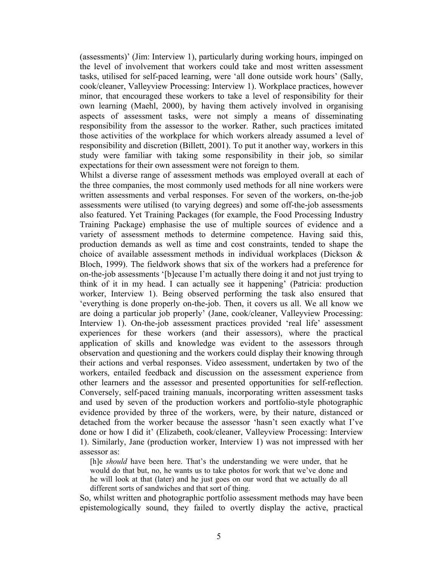(assessments)' (Jim: Interview 1), particularly during working hours, impinged on the level of involvement that workers could take and most written assessment tasks, utilised for self-paced learning, were 'all done outside work hours' (Sally, cook/cleaner, Valleyview Processing: Interview 1). Workplace practices, however minor, that encouraged these workers to take a level of responsibility for their own learning (Maehl, 2000), by having them actively involved in organising aspects of assessment tasks, were not simply a means of disseminating responsibility from the assessor to the worker. Rather, such practices imitated those activities of the workplace for which workers already assumed a level of responsibility and discretion (Billett, 2001). To put it another way, workers in this study were familiar with taking some responsibility in their job, so similar expectations for their own assessment were not foreign to them.

Whilst a diverse range of assessment methods was employed overall at each of the three companies, the most commonly used methods for all nine workers were written assessments and verbal responses. For seven of the workers, on-the-job assessments were utilised (to varying degrees) and some off-the-job assessments also featured. Yet Training Packages (for example, the Food Processing Industry Training Package) emphasise the use of multiple sources of evidence and a variety of assessment methods to determine competence. Having said this, production demands as well as time and cost constraints, tended to shape the choice of available assessment methods in individual workplaces (Dickson & Bloch, 1999). The fieldwork shows that six of the workers had a preference for on-the-job assessments '[b]ecause I'm actually there doing it and not just trying to think of it in my head. I can actually see it happening' (Patricia: production worker, Interview 1). Being observed performing the task also ensured that 'everything is done properly on-the-job. Then, it covers us all. We all know we are doing a particular job properly' (Jane, cook/cleaner, Valleyview Processing: Interview 1). On-the-job assessment practices provided 'real life' assessment experiences for these workers (and their assessors), where the practical application of skills and knowledge was evident to the assessors through observation and questioning and the workers could display their knowing through their actions and verbal responses. Video assessment, undertaken by two of the workers, entailed feedback and discussion on the assessment experience from other learners and the assessor and presented opportunities for self-reflection. Conversely, self-paced training manuals, incorporating written assessment tasks and used by seven of the production workers and portfolio-style photographic evidence provided by three of the workers, were, by their nature, distanced or detached from the worker because the assessor 'hasn't seen exactly what I've done or how I did it' (Elizabeth, cook/cleaner, Valleyview Processing: Interview 1). Similarly, Jane (production worker, Interview 1) was not impressed with her assessor as:

[h]e *should* have been here. That's the understanding we were under, that he would do that but, no, he wants us to take photos for work that we've done and he will look at that (later) and he just goes on our word that we actually do all different sorts of sandwiches and that sort of thing.

So, whilst written and photographic portfolio assessment methods may have been epistemologically sound, they failed to overtly display the active, practical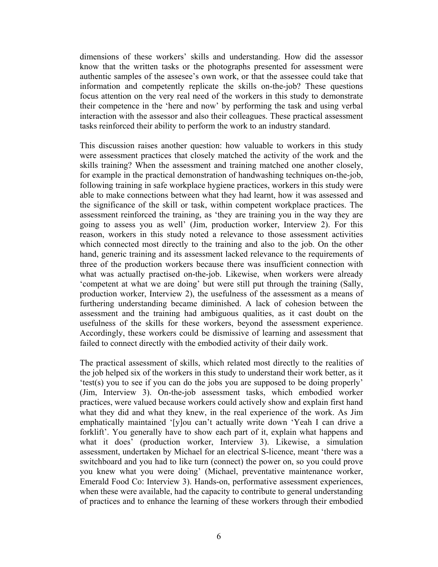dimensions of these workers' skills and understanding. How did the assessor know that the written tasks or the photographs presented for assessment were authentic samples of the assesee's own work, or that the assessee could take that information and competently replicate the skills on-the-job? These questions focus attention on the very real need of the workers in this study to demonstrate their competence in the 'here and now' by performing the task and using verbal interaction with the assessor and also their colleagues. These practical assessment tasks reinforced their ability to perform the work to an industry standard.

This discussion raises another question: how valuable to workers in this study were assessment practices that closely matched the activity of the work and the skills training? When the assessment and training matched one another closely, for example in the practical demonstration of handwashing techniques on-the-job, following training in safe workplace hygiene practices, workers in this study were able to make connections between what they had learnt, how it was assessed and the significance of the skill or task, within competent workplace practices. The assessment reinforced the training, as 'they are training you in the way they are going to assess you as well' (Jim, production worker, Interview 2). For this reason, workers in this study noted a relevance to those assessment activities which connected most directly to the training and also to the job. On the other hand, generic training and its assessment lacked relevance to the requirements of three of the production workers because there was insufficient connection with what was actually practised on-the-job. Likewise, when workers were already 'competent at what we are doing' but were still put through the training (Sally, production worker, Interview 2), the usefulness of the assessment as a means of furthering understanding became diminished. A lack of cohesion between the assessment and the training had ambiguous qualities, as it cast doubt on the usefulness of the skills for these workers, beyond the assessment experience. Accordingly, these workers could be dismissive of learning and assessment that failed to connect directly with the embodied activity of their daily work.

The practical assessment of skills, which related most directly to the realities of the job helped six of the workers in this study to understand their work better, as it 'test(s) you to see if you can do the jobs you are supposed to be doing properly' (Jim, Interview 3). On-the-job assessment tasks, which embodied worker practices, were valued because workers could actively show and explain first hand what they did and what they knew, in the real experience of the work. As Jim emphatically maintained '[y]ou can't actually write down 'Yeah I can drive a forklift'. You generally have to show each part of it, explain what happens and what it does' (production worker, Interview 3). Likewise, a simulation assessment, undertaken by Michael for an electrical S-licence, meant 'there was a switchboard and you had to like turn (connect) the power on, so you could prove you knew what you were doing' (Michael, preventative maintenance worker, Emerald Food Co: Interview 3). Hands-on, performative assessment experiences, when these were available, had the capacity to contribute to general understanding of practices and to enhance the learning of these workers through their embodied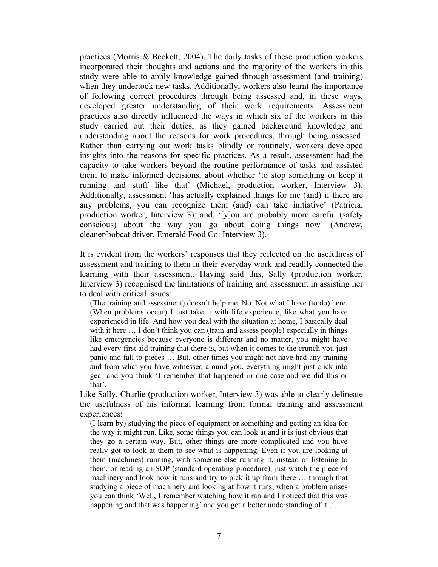practices (Morris & Beckett, 2004). The daily tasks of these production workers incorporated their thoughts and actions and the majority of the workers in this study were able to apply knowledge gained through assessment (and training) when they undertook new tasks. Additionally, workers also learnt the importance of following correct procedures through being assessed and, in these ways, developed greater understanding of their work requirements. Assessment practices also directly influenced the ways in which six of the workers in this study carried out their duties, as they gained background knowledge and understanding about the reasons for work procedures, through being assessed. Rather than carrying out work tasks blindly or routinely, workers developed insights into the reasons for specific practices. As a result, assessment had the capacity to take workers beyond the routine performance of tasks and assisted them to make informed decisions, about whether 'to stop something or keep it running and stuff like that' (Michael, production worker, Interview 3). Additionally, assessment 'has actually explained things for me (and) if there are any problems, you can recognize them (and) can take initiative' (Patricia, production worker, Interview 3); and, '[y]ou are probably more careful (safety conscious) about the way you go about doing things now' (Andrew, cleaner/bobcat driver, Emerald Food Co: Interview 3).

It is evident from the workers' responses that they reflected on the usefulness of assessment and training to them in their everyday work and readily connected the learning with their assessment. Having said this, Sally (production worker, Interview 3) recognised the limitations of training and assessment in assisting her to deal with critical issues:

(The training and assessment) doesn't help me. No. Not what I have (to do) here. (When problems occur) I just take it with life experience, like what you have experienced in life. And how you deal with the situation at home, I basically deal with it here ... I don't think you can (train and assess people) especially in things like emergencies because everyone is different and no matter, you might have had every first aid training that there is, but when it comes to the crunch you just panic and fall to pieces … But, other times you might not have had any training and from what you have witnessed around you, everything might just click into gear and you think 'I remember that happened in one case and we did this or that'.

Like Sally, Charlie (production worker, Interview 3) was able to clearly delineate the usefulness of his informal learning from formal training and assessment experiences:

(I learn by) studying the piece of equipment or something and getting an idea for the way it might run. Like, some things you can look at and it is just obvious that they go a certain way. But, other things are more complicated and you have really got to look at them to see what is happening. Even if you are looking at them (machines) running, with someone else running it, instead of listening to them, or reading an SOP (standard operating procedure), just watch the piece of machinery and look how it runs and try to pick it up from there … through that studying a piece of machinery and looking at how it runs, when a problem arises you can think 'Well, I remember watching how it ran and I noticed that this was happening and that was happening' and you get a better understanding of it...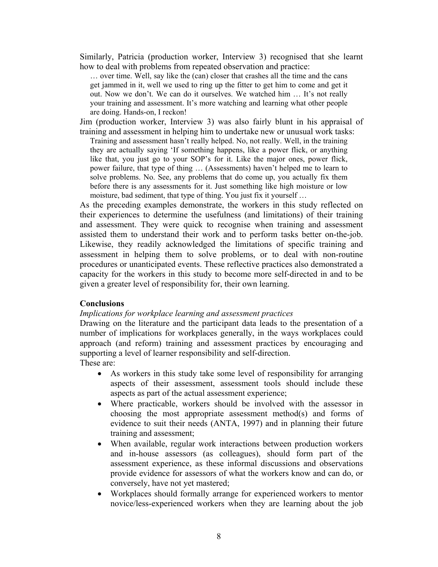Similarly, Patricia (production worker, Interview 3) recognised that she learnt how to deal with problems from repeated observation and practice:

… over time. Well, say like the (can) closer that crashes all the time and the cans get jammed in it, well we used to ring up the fitter to get him to come and get it out. Now we don't. We can do it ourselves. We watched him … It's not really your training and assessment. It's more watching and learning what other people are doing. Hands-on, I reckon!

Jim (production worker, Interview 3) was also fairly blunt in his appraisal of training and assessment in helping him to undertake new or unusual work tasks:

Training and assessment hasn't really helped. No, not really. Well, in the training they are actually saying 'If something happens, like a power flick, or anything like that, you just go to your SOP's for it. Like the major ones, power flick, power failure, that type of thing … (Assessments) haven't helped me to learn to solve problems. No. See, any problems that do come up, you actually fix them before there is any assessments for it. Just something like high moisture or low moisture, bad sediment, that type of thing. You just fix it yourself …

As the preceding examples demonstrate, the workers in this study reflected on their experiences to determine the usefulness (and limitations) of their training and assessment. They were quick to recognise when training and assessment assisted them to understand their work and to perform tasks better on-the-job. Likewise, they readily acknowledged the limitations of specific training and assessment in helping them to solve problems, or to deal with non-routine procedures or unanticipated events. These reflective practices also demonstrated a capacity for the workers in this study to become more self-directed in and to be given a greater level of responsibility for, their own learning.

#### **Conclusions**

#### *Implications for workplace learning and assessment practices*

Drawing on the literature and the participant data leads to the presentation of a number of implications for workplaces generally, in the ways workplaces could approach (and reform) training and assessment practices by encouraging and supporting a level of learner responsibility and self-direction.

These are:

- As workers in this study take some level of responsibility for arranging aspects of their assessment, assessment tools should include these aspects as part of the actual assessment experience;
- Where practicable, workers should be involved with the assessor in choosing the most appropriate assessment method(s) and forms of evidence to suit their needs (ANTA, 1997) and in planning their future training and assessment;
- When available, regular work interactions between production workers and in-house assessors (as colleagues), should form part of the assessment experience, as these informal discussions and observations provide evidence for assessors of what the workers know and can do, or conversely, have not yet mastered;
- Workplaces should formally arrange for experienced workers to mentor novice/less-experienced workers when they are learning about the job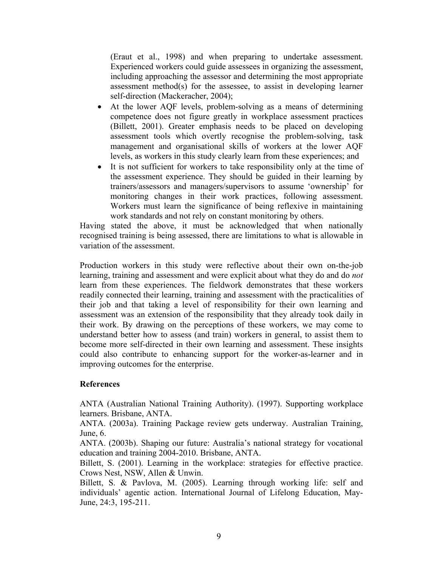(Eraut et al., 1998) and when preparing to undertake assessment. Experienced workers could guide assessees in organizing the assessment, including approaching the assessor and determining the most appropriate assessment method(s) for the assessee, to assist in developing learner self-direction (Mackeracher, 2004);

- At the lower AQF levels, problem-solving as a means of determining competence does not figure greatly in workplace assessment practices (Billett, 2001). Greater emphasis needs to be placed on developing assessment tools which overtly recognise the problem-solving, task management and organisational skills of workers at the lower AQF levels, as workers in this study clearly learn from these experiences; and
- It is not sufficient for workers to take responsibility only at the time of the assessment experience. They should be guided in their learning by trainers/assessors and managers/supervisors to assume 'ownership' for monitoring changes in their work practices, following assessment. Workers must learn the significance of being reflexive in maintaining work standards and not rely on constant monitoring by others.

Having stated the above, it must be acknowledged that when nationally recognised training is being assessed, there are limitations to what is allowable in variation of the assessment.

Production workers in this study were reflective about their own on-the-job learning, training and assessment and were explicit about what they do and do *not* learn from these experiences. The fieldwork demonstrates that these workers readily connected their learning, training and assessment with the practicalities of their job and that taking a level of responsibility for their own learning and assessment was an extension of the responsibility that they already took daily in their work. By drawing on the perceptions of these workers, we may come to understand better how to assess (and train) workers in general, to assist them to become more self-directed in their own learning and assessment. These insights could also contribute to enhancing support for the worker-as-learner and in improving outcomes for the enterprise.

# **References**

ANTA (Australian National Training Authority). (1997). Supporting workplace learners. Brisbane, ANTA.

ANTA. (2003a). Training Package review gets underway. Australian Training, June, 6.

ANTA. (2003b). Shaping our future: Australia's national strategy for vocational education and training 2004-2010. Brisbane, ANTA.

Billett, S. (2001). Learning in the workplace: strategies for effective practice. Crows Nest, NSW, Allen & Unwin.

Billett, S. & Pavlova, M. (2005). Learning through working life: self and individuals' agentic action. International Journal of Lifelong Education, May-June, 24:3, 195-211.